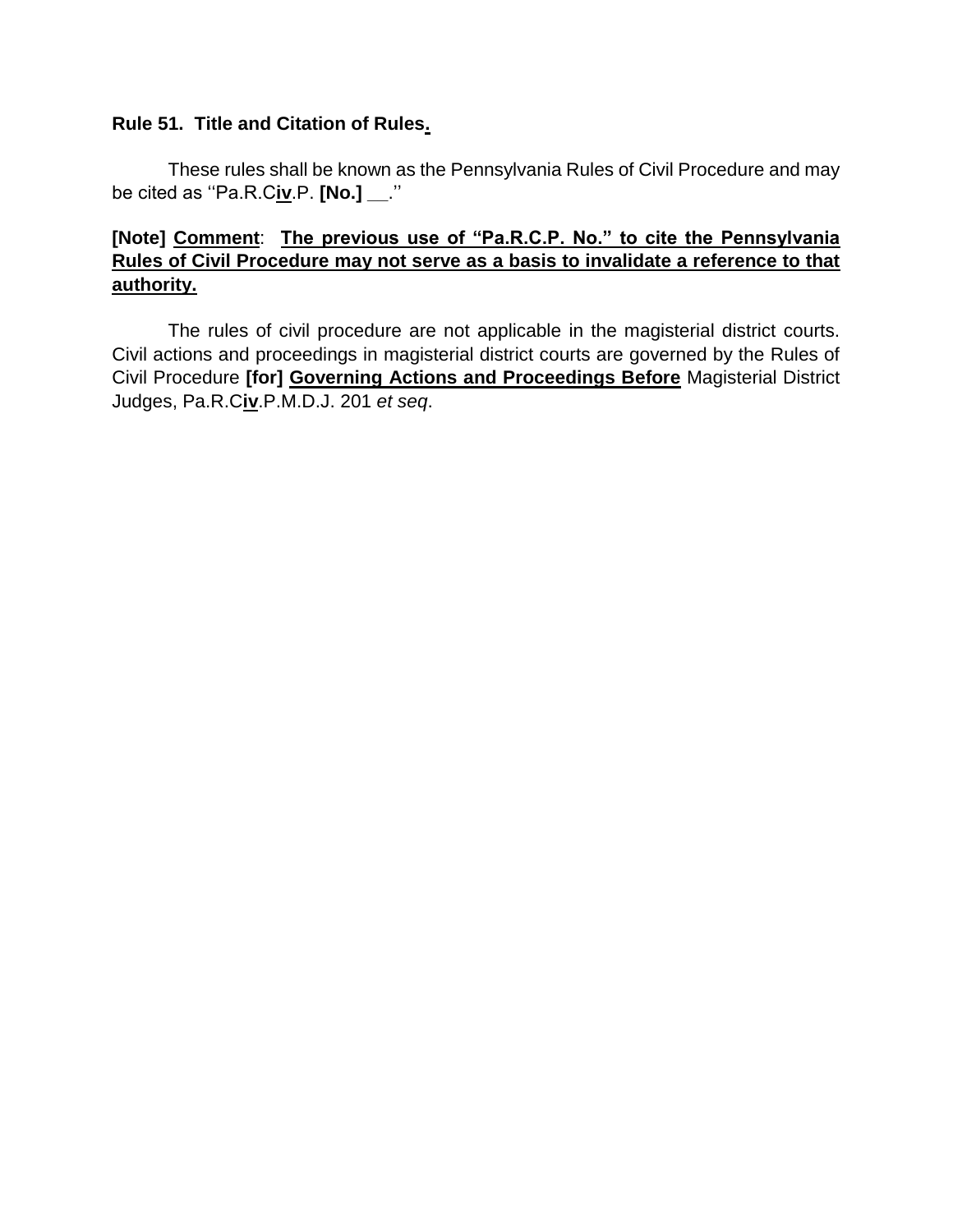## **Rule 51. Title and Citation of Rules.**

These rules shall be known as the Pennsylvania Rules of Civil Procedure and may be cited as ''Pa.R.C**iv**.P. **[No.] \_\_**.''

## **[Note] Comment**: **The previous use of "Pa.R.C.P. No." to cite the Pennsylvania Rules of Civil Procedure may not serve as a basis to invalidate a reference to that authority.**

The rules of civil procedure are not applicable in the magisterial district courts. Civil actions and proceedings in magisterial district courts are governed by the Rules of Civil Procedure **[for] Governing Actions and Proceedings Before** Magisterial District Judges, Pa.R.C**iv**.P.M.D.J. 201 *et seq*.